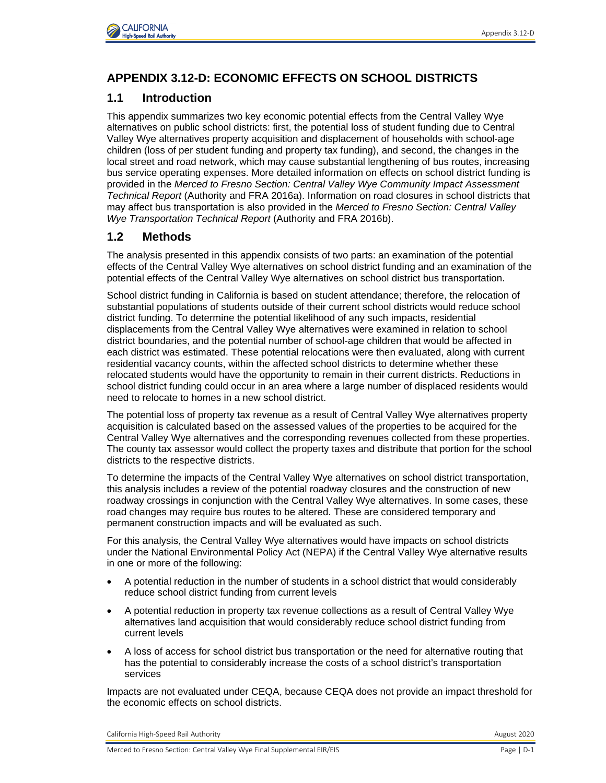

# **APPENDIX 3.12-D: ECONOMIC EFFECTS ON SCHOOL DISTRICTS**

California High-Speed Rail Authority **August 2020**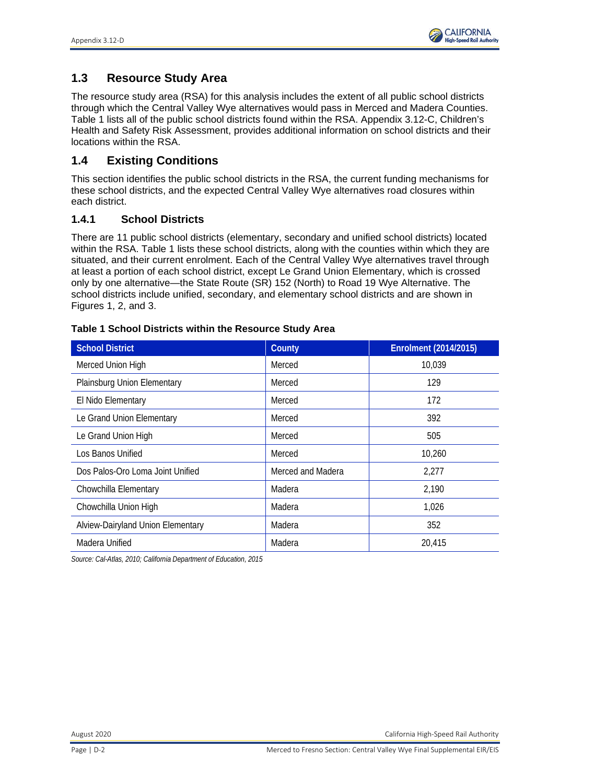

# **APPENDIX 3.12-D: ECONOMIC EFFECTS ON SCHOOL DISTRICTS**

# **1.1 Introduction**

This appendix summarizes two key economic potential effects from the Central Valley Wye alternatives on public school districts: first, the potential loss of student funding due to Central Valley Wye alternatives property acquisition and displacement of households with school-age children (loss of per student funding and property tax funding), and second, the changes in the local street and road network, which may cause substantial lengthening of bus routes, increasing bus service operating expenses. More detailed information on effects on school district funding is provided in the *Merced to Fresno Section: Central Valley Wye Community Impact Assessment Technical Report* (Authority and FRA 2016a). Information on road closures in school districts that may affect bus transportation is also provided in the *Merced to Fresno Section: Central Valley Wye Transportation Technical Report* (Authority and FRA 2016b).

# **1.2 Methods**

The analysis presented in this appendix consists of two parts: an examination of the potential effects of the Central Valley Wye alternatives on school district funding and an examination of the potential effects of the Central Valley Wye alternatives on school district bus transportation.

School district funding in California is based on student attendance; therefore, the relocation of substantial populations of students outside of their current school districts would reduce school district funding. To determine the potential likelihood of any such impacts, residential displacements from the Central Valley Wye alternatives were examined in relation to school district boundaries, and the potential number of school-age children that would be affected in each district was estimated. These potential relocations were then evaluated, along with current residential vacancy counts, within the affected school districts to determine whether these relocated students would have the opportunity to remain in their current districts. Reductions in school district funding could occur in an area where a large number of displaced residents would need to relocate to homes in a new school district.

The potential loss of property tax revenue as a result of Central Valley Wye alternatives property acquisition is calculated based on the assessed values of the properties to be acquired for the Central Valley Wye alternatives and the corresponding revenues collected from these properties. The county tax assessor would collect the property taxes and distribute that portion for the school districts to the respective districts.

To determine the impacts of the Central Valley Wye alternatives on school district transportation, this analysis includes a review of the potential roadway closures and the construction of new roadway crossings in conjunction with the Central Valley Wye alternatives. In some cases, these road changes may require bus routes to be altered. These are considered temporary and permanent construction impacts and will be evaluated as such.

For this analysis, the Central Valley Wye alternatives would have impacts on school districts under the National Environmental Policy Act (NEPA) if the Central Valley Wye alternative results in one or more of the following:

- A potential reduction in the number of students in a school district that would considerably reduce school district funding from current levels
- A potential reduction in property tax revenue collections as a result of Central Valley Wye alternatives land acquisition that would considerably reduce school district funding from current levels
- A loss of access for school district bus transportation or the need for alternative routing that has the potential to considerably increase the costs of a school district's transportation services

Impacts are not evaluated under CEQA, because CEQA does not provide an impact threshold for the economic effects on school districts.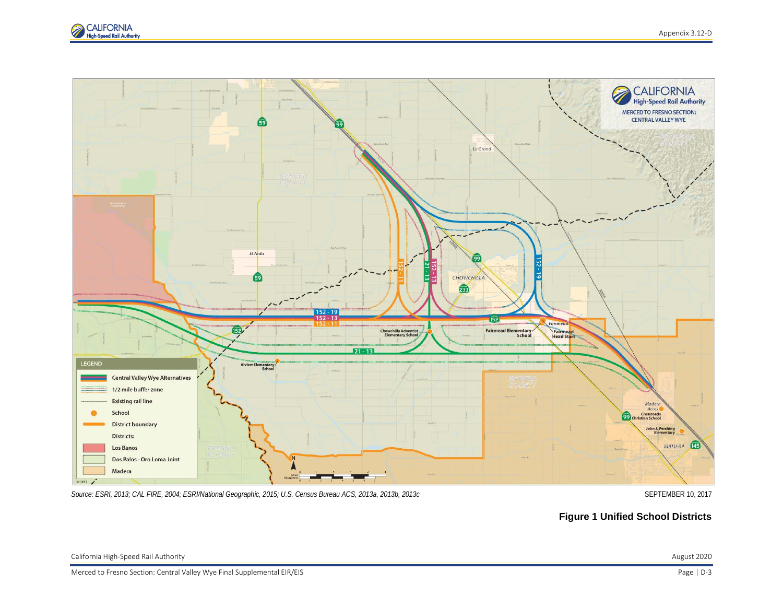

# **1.3 Resource Study Area**

The resource study area (RSA) for this analysis includes the extent of all public school districts through which the Central Valley Wye alternatives would pass in Merced and Madera Counties. Table 1 lists all of the public school districts found within the RSA. Appendix 3.12-C, Children's Health and Safety Risk Assessment, provides additional information on school districts and their locations within the RSA.

# **1.4 Existing Conditions**

This section identifies the public school districts in the RSA, the current funding mechanisms for these school districts, and the expected Central Valley Wye alternatives road closures within each district.

## **1.4.1 School Districts**

There are 11 public school districts (elementary, secondary and unified school districts) located within the RSA. Table 1 lists these school districts, along with the counties within which they are situated, and their current enrolment. Each of the Central Valley Wye alternatives travel through at least a portion of each school district, except Le Grand Union Elementary, which is crossed only by one alternative—the State Route (SR) 152 (North) to Road 19 Wye Alternative. The school districts include unified, secondary, and elementary school districts and are shown in Figures 1, 2, and 3.

| <b>School District</b>            | County            | <b>Enrolment (2014/2015)</b> |
|-----------------------------------|-------------------|------------------------------|
| Merced Union High                 | Merced            | 10,039                       |
| Plainsburg Union Elementary       | Merced            | 129                          |
| El Nido Elementary                | Merced            | 172                          |
| Le Grand Union Elementary         | Merced            | 392                          |
| Le Grand Union High               | Merced            | 505                          |
| Los Banos Unified                 | Merced            | 10,260                       |
| Dos Palos-Oro Loma Joint Unified  | Merced and Madera | 2,277                        |
| Chowchilla Elementary             | Madera            | 2,190                        |
| Chowchilla Union High             | Madera            | 1,026                        |
| Alview-Dairyland Union Elementary | Madera            | 352                          |
| Madera Unified                    | Madera            | 20.415                       |

#### **Table 1 School Districts within the Resource Study Area**

*Source: Cal-Atlas, 2010; California Department of Education, 2015*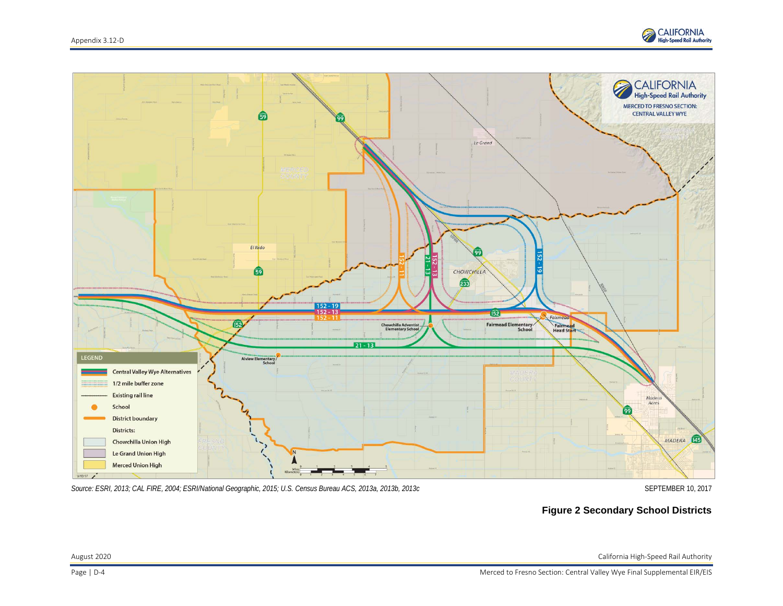



*Source: ESRI, 2013; CAL FIRE, 2004; ESRI/National Geographic, 2015; U.S. Census Bureau ACS, 2013a, 2013b, 2013c* SEPTEMBER 10, 2017

**Figure 1 Unified School Districts**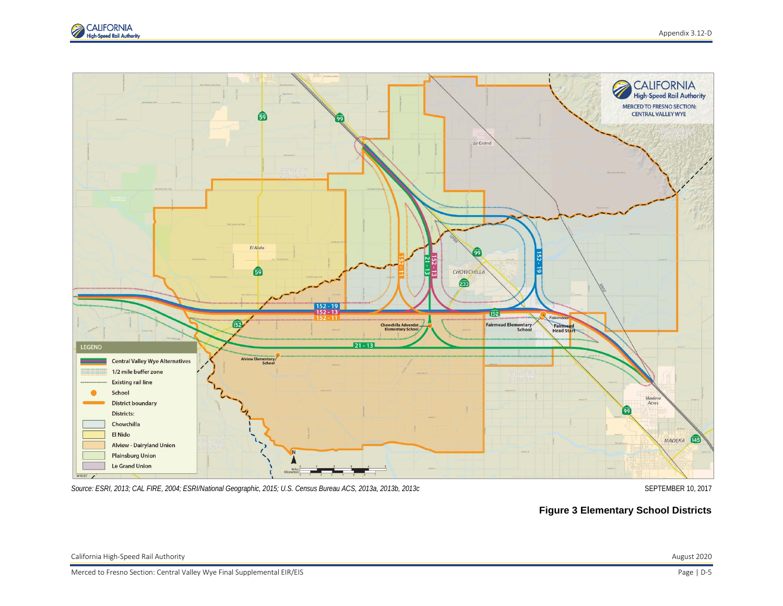



*Source: ESRI, 2013; CAL FIRE, 2004; ESRI/National Geographic, 2015; U.S. Census Bureau ACS, 2013a, 2013b, 2013c* SEPTEMBER 10, 2017

## **Figure 2 Secondary School Districts**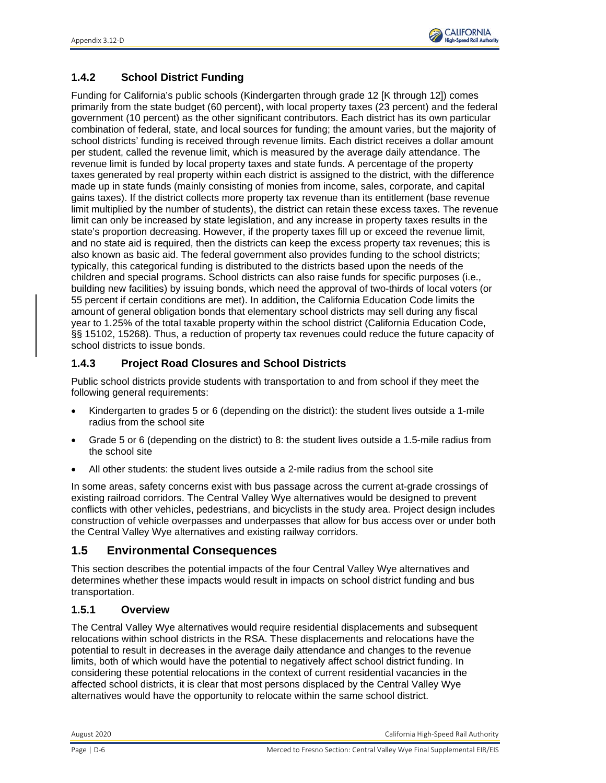

*Source: ESRI, 2013; CAL FIRE, 2004; ESRI/National Geographic, 2015; U.S. Census Bureau ACS, 2013a, 2013b, 2013c* SEPTEMBER 10, 2017

**Figure 3 Elementary School Districts**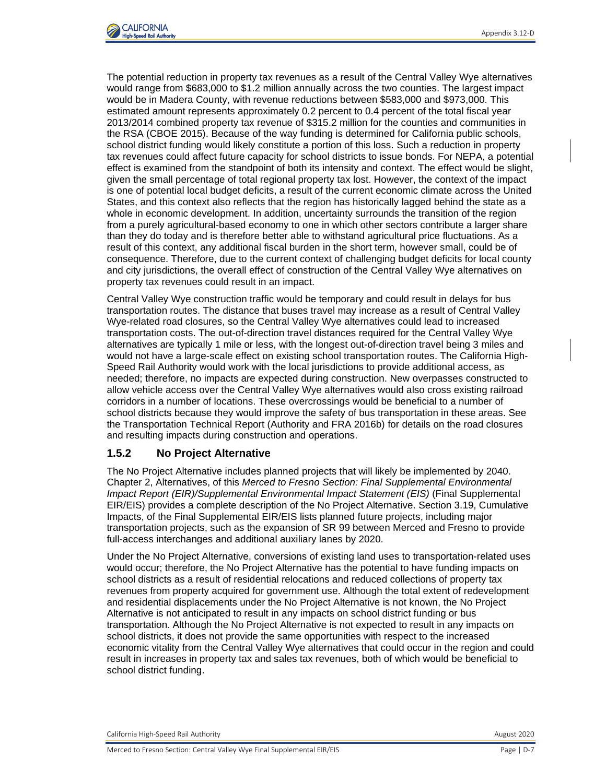

# **1.4.2 School District Funding**

Funding for California's public schools (Kindergarten through grade 12 [K through 12]) comes primarily from the state budget (60 percent), with local property taxes (23 percent) and the federal government (10 percent) as the other significant contributors. Each district has its own particular combination of federal, state, and local sources for funding; the amount varies, but the majority of school districts' funding is received through revenue limits. Each district receives a dollar amount per student, called the revenue limit, which is measured by the average daily attendance. The revenue limit is funded by local property taxes and state funds. A percentage of the property taxes generated by real property within each district is assigned to the district, with the difference made up in state funds (mainly consisting of monies from income, sales, corporate, and capital gains taxes). If the district collects more property tax revenue than its entitlement (base revenue limit multiplied by the number of students), the district can retain these excess taxes. The revenue limit can only be increased by state legislation, and any increase in property taxes results in the state's proportion decreasing. However, if the property taxes fill up or exceed the revenue limit, and no state aid is required, then the districts can keep the excess property tax revenues; this is also known as basic aid. The federal government also provides funding to the school districts; typically, this categorical funding is distributed to the districts based upon the needs of the children and special programs. School districts can also raise funds for specific purposes (i.e., building new facilities) by issuing bonds, which need the approval of two-thirds of local voters (or 55 percent if certain conditions are met). In addition, the California Education Code limits the amount of general obligation bonds that elementary school districts may sell during any fiscal year to 1.25% of the total taxable property within the school district (California Education Code, §§ 15102, 15268). Thus, a reduction of property tax revenues could reduce the future capacity of school districts to issue bonds.

## **1.4.3 Project Road Closures and School Districts**

Public school districts provide students with transportation to and from school if they meet the following general requirements:

- Kindergarten to grades 5 or 6 (depending on the district): the student lives outside a 1-mile radius from the school site
- Grade 5 or 6 (depending on the district) to 8: the student lives outside a 1.5-mile radius from the school site
- All other students: the student lives outside a 2-mile radius from the school site

In some areas, safety concerns exist with bus passage across the current at-grade crossings of existing railroad corridors. The Central Valley Wye alternatives would be designed to prevent conflicts with other vehicles, pedestrians, and bicyclists in the study area. Project design includes construction of vehicle overpasses and underpasses that allow for bus access over or under both the Central Valley Wye alternatives and existing railway corridors.

# **1.5 Environmental Consequences**

This section describes the potential impacts of the four Central Valley Wye alternatives and determines whether these impacts would result in impacts on school district funding and bus transportation.

## **1.5.1 Overview**

The Central Valley Wye alternatives would require residential displacements and subsequent relocations within school districts in the RSA. These displacements and relocations have the potential to result in decreases in the average daily attendance and changes to the revenue limits, both of which would have the potential to negatively affect school district funding. In considering these potential relocations in the context of current residential vacancies in the affected school districts, it is clear that most persons displaced by the Central Valley Wye alternatives would have the opportunity to relocate within the same school district.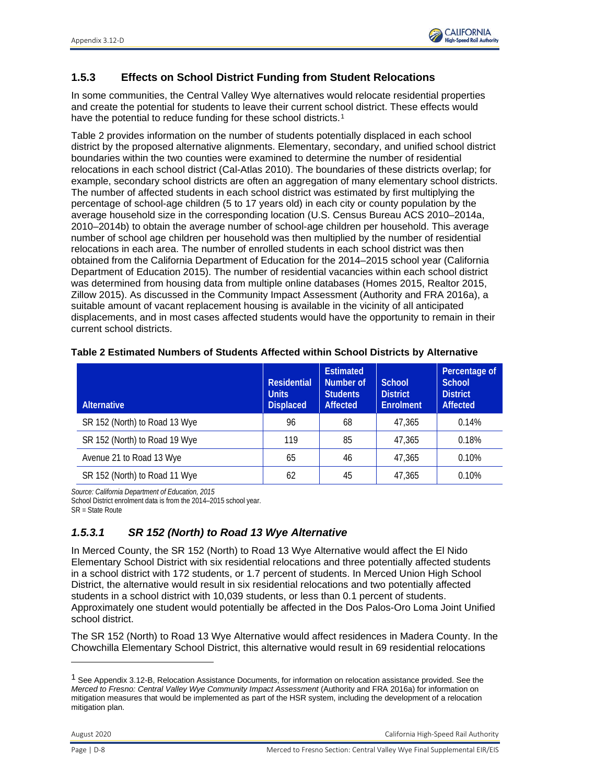

The potential reduction in property tax revenues as a result of the Central Valley Wye alternatives would range from \$683,000 to \$1.2 million annually across the two counties. The largest impact would be in Madera County, with revenue reductions between \$583,000 and \$973,000. This estimated amount represents approximately 0.2 percent to 0.4 percent of the total fiscal year 2013/2014 combined property tax revenue of \$315.2 million for the counties and communities in the RSA (CBOE 2015). Because of the way funding is determined for California public schools, school district funding would likely constitute a portion of this loss. Such a reduction in property tax revenues could affect future capacity for school districts to issue bonds. For NEPA, a potential effect is examined from the standpoint of both its intensity and context. The effect would be slight, given the small percentage of total regional property tax lost. However, the context of the impact is one of potential local budget deficits, a result of the current economic climate across the United States, and this context also reflects that the region has historically lagged behind the state as a whole in economic development. In addition, uncertainty surrounds the transition of the region from a purely agricultural-based economy to one in which other sectors contribute a larger share than they do today and is therefore better able to withstand agricultural price fluctuations. As a result of this context, any additional fiscal burden in the short term, however small, could be of consequence. Therefore, due to the current context of challenging budget deficits for local county and city jurisdictions, the overall effect of construction of the Central Valley Wye alternatives on property tax revenues could result in an impact.

Central Valley Wye construction traffic would be temporary and could result in delays for bus transportation routes. The distance that buses travel may increase as a result of Central Valley Wye-related road closures, so the Central Valley Wye alternatives could lead to increased transportation costs. The out-of-direction travel distances required for the Central Valley Wye alternatives are typically 1 mile or less, with the longest out-of-direction travel being 3 miles and would not have a large-scale effect on existing school transportation routes. The California High-Speed Rail Authority would work with the local jurisdictions to provide additional access, as needed; therefore, no impacts are expected during construction. New overpasses constructed to allow vehicle access over the Central Valley Wye alternatives would also cross existing railroad corridors in a number of locations. These overcrossings would be beneficial to a number of school districts because they would improve the safety of bus transportation in these areas. See the Transportation Technical Report (Authority and FRA 2016b) for details on the road closures and resulting impacts during construction and operations.

## **1.5.2 No Project Alternative**

The No Project Alternative includes planned projects that will likely be implemented by 2040. Chapter 2, Alternatives, of this *Merced to Fresno Section: Final Supplemental Environmental Impact Report (EIR)/Supplemental Environmental Impact Statement (EIS)* (Final Supplemental EIR/EIS) provides a complete description of the No Project Alternative. Section 3.19, Cumulative Impacts, of the Final Supplemental EIR/EIS lists planned future projects, including major transportation projects, such as the expansion of SR 99 between Merced and Fresno to provide full-access interchanges and additional auxiliary lanes by 2020.

Under the No Project Alternative, conversions of existing land uses to transportation-related uses would occur; therefore, the No Project Alternative has the potential to have funding impacts on school districts as a result of residential relocations and reduced collections of property tax revenues from property acquired for government use. Although the total extent of redevelopment and residential displacements under the No Project Alternative is not known, the No Project Alternative is not anticipated to result in any impacts on school district funding or bus transportation. Although the No Project Alternative is not expected to result in any impacts on school districts, it does not provide the same opportunities with respect to the increased economic vitality from the Central Valley Wye alternatives that could occur in the region and could result in increases in property tax and sales tax revenues, both of which would be beneficial to school district funding.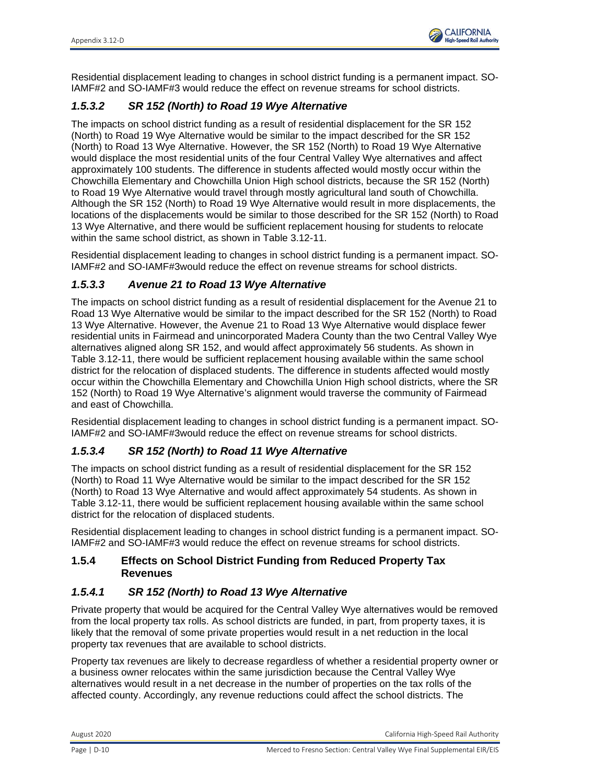

and 35 potentially affected students in a school district with 2,190 students, or 1.6 percent of students. In the Alview-Dairyland Union Elementary School District, this alternative would result in 16 residential relocations and 8 potentially affected students in a school district with 352 students, or 2.3 percent of students. In Chowchilla Union High School District, this alternative would result in 85 residential relocations and 23 potentially affected students in a school district with 1,026 students, or 2.2 percent of students. In Madera Unified School District, this alternative would result in two residential relocations and two potentially affected student in a school district with 20,415 students, or less than 0.1 percent of students.

The number of residential vacancies in this area of Madera County is 127 units and affected residents would most likely relocate within the same school district. Chowchilla Elementary and Chowchilla Union school districts extend across Chowchilla, Fairmead and unincorporated Madera County where a combined estimate of 111 residential units would be displaced. While displacements would occur primarily in Fairmead and in unincorporated Madera County surrounding Chowchilla, there are 112 units available in those communities, so relocating outside the school district would not be necessary. Similarly, Madera Unified School District extends across Madera Acres and unincorporated Madera County where a combined estimate of 58 residential units would be displaced. There are 62 units available within the Madera Unified School District in Madera Acres, the City of Madera and unincorporated Madera County for relocation for students displaced in Madera Acres and unincorporated Madera County.

The values of these potential replacement housing units are comparable to the values of the displaced properties. This comparison of cost is a good measure of the suitability of replacement housing because it is a function of important attributes, such as size, quality, and neighborhood amenities. While the value of the displaced properties is not available, the average housing value in each jurisdiction can be used instead. The average housing value was obtained from the U.S. Census Bureau American Community Survey (ACS) 2010-2014 dataset. The average housing values presented in this section have been adjusted for inflation (2015 dollars) (U.S. Bureau of Labor Statistics 2015).

- The average housing value in Chowchilla is \$200,800 and the average value of the replacement housing is \$222,035.
- The average housing value in Fairmead is \$184,200 and the average value of the replacement housing is \$277,000.
- The average housing value in Madera County is \$270,900 and the average value of the replacement housing is \$329,734.
- The average housing value in Merced County is \$218,200 and the average value of the replacement housing is \$281,994.

Available units in unincorporated Merced County include units available in the rural communities of Le Grand and Dos Palos. Refer to the *Merced to Fresno: Central Valley Wye Draft Relocation Impact Report* (Authority and FRA 2016c) for more information on Central Valley Wye alternatives displacement and relocation impacts.

Overall, there are sufficient replacement properties available within the affected school districts that displaced residents could relocate within the same school districts (see Table 3.12-11).

The Authority has established SO-IAMF#2: Compliance with Uniform Act Assistance and Real Property Acquisition Policies Act, and SO-IAMF#3: Relocation Mitigation Plan. The Uniform Act requires that the owning agency provide notification to all affected property owners of the agency's intent to acquire an interest in their property. This notification includes a written offer letter of just compensation. The Uniform Act also provides benefits to displaced individuals to assist them financially and with advisory services related to relocating their residence or business operations. Before any acquisitions occur, the Authority would develop a relocation mitigation plan, in consultation with affected cities and counties. In addition to establishing a program to minimize the economic disruption related to relocation, the relocation mitigation plan would be written in a style that also enables it to be used as a public information document.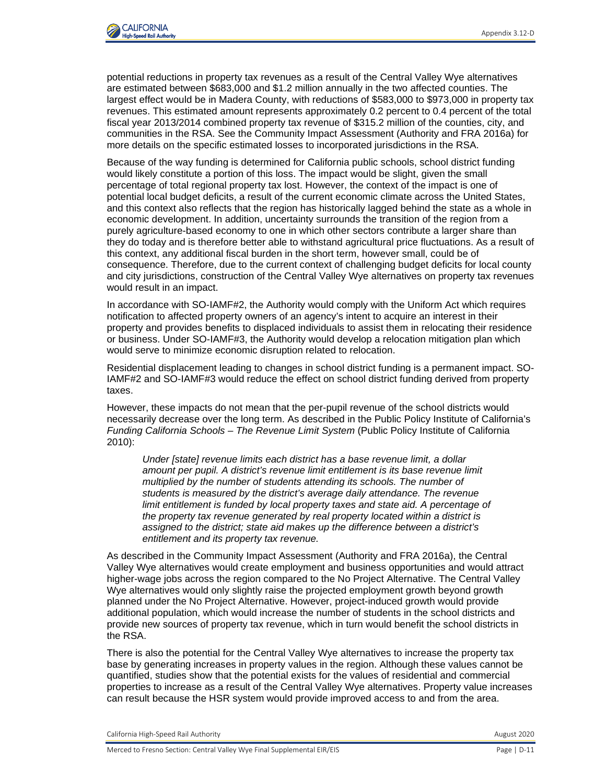Residential displacement leading to changes in school district funding is a permanent impact. SO-IAMF#2 and SO-IAMF#3 would reduce the effect on revenue streams for school districts.

# *1.5.3.2 SR 152 (North) to Road 19 Wye Alternative*

The impacts on school district funding as a result of residential displacement for the SR 152 (North) to Road 19 Wye Alternative would be similar to the impact described for the SR 152 (North) to Road 13 Wye Alternative. However, the SR 152 (North) to Road 19 Wye Alternative would displace the most residential units of the four Central Valley Wye alternatives and affect approximately 100 students. The difference in students affected would mostly occur within the Chowchilla Elementary and Chowchilla Union High school districts, because the SR 152 (North) to Road 19 Wye Alternative would travel through mostly agricultural land south of Chowchilla. Although the SR 152 (North) to Road 19 Wye Alternative would result in more displacements, the locations of the displacements would be similar to those described for the SR 152 (North) to Road 13 Wye Alternative, and there would be sufficient replacement housing for students to relocate within the same school district, as shown in Table 3.12-11.

Residential displacement leading to changes in school district funding is a permanent impact. SO-IAMF#2 and SO-IAMF#3would reduce the effect on revenue streams for school districts.

# *1.5.3.3 Avenue 21 to Road 13 Wye Alternative*

The impacts on school district funding as a result of residential displacement for the Avenue 21 to Road 13 Wye Alternative would be similar to the impact described for the SR 152 (North) to Road 13 Wye Alternative. However, the Avenue 21 to Road 13 Wye Alternative would displace fewer residential units in Fairmead and unincorporated Madera County than the two Central Valley Wye alternatives aligned along SR 152, and would affect approximately 56 students. As shown in Table 3.12-11, there would be sufficient replacement housing available within the same school district for the relocation of displaced students. The difference in students affected would mostly occur within the Chowchilla Elementary and Chowchilla Union High school districts, where the SR 152 (North) to Road 19 Wye Alternative's alignment would traverse the community of Fairmead and east of Chowchilla.

Residential displacement leading to changes in school district funding is a permanent impact. SO-IAMF#2 and SO-IAMF#3would reduce the effect on revenue streams for school districts.

# *1.5.3.4 SR 152 (North) to Road 11 Wye Alternative*

The impacts on school district funding as a result of residential displacement for the SR 152 (North) to Road 11 Wye Alternative would be similar to the impact described for the SR 152 (North) to Road 13 Wye Alternative and would affect approximately 54 students. As shown in Table 3.12-11, there would be sufficient replacement housing available within the same school district for the relocation of displaced students.

Residential displacement leading to changes in school district funding is a permanent impact. SO-IAMF#2 and SO-IAMF#3 would reduce the effect on revenue streams for school districts.

## **1.5.4 Effects on School District Funding from Reduced Property Tax Revenues**

# *1.5.4.1 SR 152 (North) to Road 13 Wye Alternative*

Private property that would be acquired for the Central Valley Wye alternatives would be removed from the local property tax rolls. As school districts are funded, in part, from property taxes, it is likely that the removal of some private properties would result in a net reduction in the local property tax revenues that are available to school districts.

Property tax revenues are likely to decrease regardless of whether a residential property owner or a business owner relocates within the same jurisdiction because the Central Valley Wye alternatives would result in a net decrease in the number of properties on the tax rolls of the affected county. Accordingly, any revenue reductions could affect the school districts. The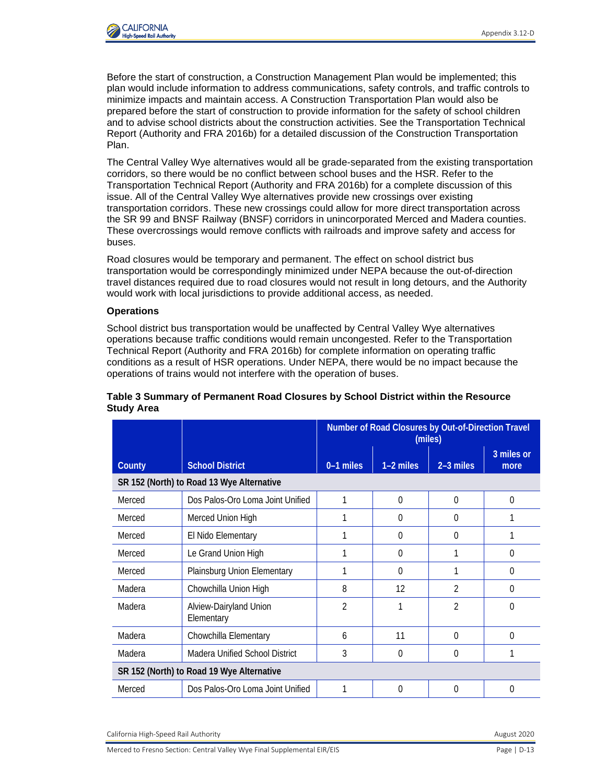

Due to impacts associated with the HSR (e.g., noise, visual impacts), property values may decrease in areas that are close to the HSR guideway, particularly residences close to elevated sections of the guideway. Outside of the communities, the adjacent land uses are primarily associated with rural agriculture, and few residential or businesses are located nearby. This further minimizes the overall impact of reduced property values because those land uses would not be negatively affected by visual or noise impacts.

# *1.5.4.2 SR 152 (North) to Road 19 Wye Alternative*

The impacts on school district funding as a result of reduced property tax revenues would be the same as the impact described for the SR 152 (North) to Road 13 Wye Alternative. Residential displacement leading to changes in school district funding is a permanent impact. SO-IAMF#2, SO-IAMF#3, and SO-MM#1: Implement Measures to Reduce Impacts Associated with the Division of Residential Neighborhoods, would reduce the effect on school district funding derived from property taxes.

# *1.5.4.3 Avenue 21 to Road 13 Wye Alternative*

The impacts on school district funding as a result of reduced property tax revenues would be the same as the impact described for the SR 152 (North) to Road 13 Wye Alternative. Residential displacement leading to changes in school district funding is a permanent impact. SO-IAMF#2 and SO-IAMF#3 would reduce the effect on school district funding derived from property taxes.

# *1.5.4.4 SR 152 (North) to Road 11 Wye Alternative*

The impacts on school district funding as a result of reduced property tax revenues would be the same as the impact described for the SR 152 (North) to Road 13 Wye Alternative. Residential displacement leading to changes in school district funding is a permanent impact. SO-IAMF#2, SO-IAMF#3, and SO-MM#1 would reduce the effect on school district funding derived from property taxes.

# **1.5.5 Effects on School District Bus Transportation**

# *1.5.5.1 SR 152 (North) to Road 13 Wye Alternative*

## **Construction**

Construction impacts may result from school bus detours due to temporary and permanent road closures during construction. A summary listing of permanent road closures by school district is provided in Table 3. The full list is provided in Attachment 1. The table also lists the out-ofdirection travel that would be required as a result of the road closures. For this analysis, a road closure with 0 miles of out-of-direction travel signifies that a roadway is in close proximity to an HSR road crossing that would exist during HSR operations. Out-of-direction travel of a few miles would be an impact if it would result in a noticeable but localized effect on school transportation. Out-of-direction travel of 10 miles or more would be an impact due to its larger-scale effects on existing school transportation routes.

In general, out-of-direction travel required for school buses would not have a large-scale effect on existing school transportation routes. Information submitted by Chowchilla Elementary School District, which is uniquely positioned because it utilizes grade-level (not neighborhood) schools, suggests that on average, approximate out-of-direction travel distance required for school bus routes would be 3 miles (Traber 2020). Refer to the Transportation Technical Report (Authority and FRA 2016b) for complete information on the location of roadway closures and new crossings.

Standard construction procedures related to traffic management would be used for the Central Valley Wye alternatives, including identification of when and where temporary closures and detours would occur to maintain traffic flow during peak-travel periods. For example, in areas where a new crossing is required, detours would be built first, and traffic diverted. After construction is completed, traffic would be diverted back to the new overcrossing.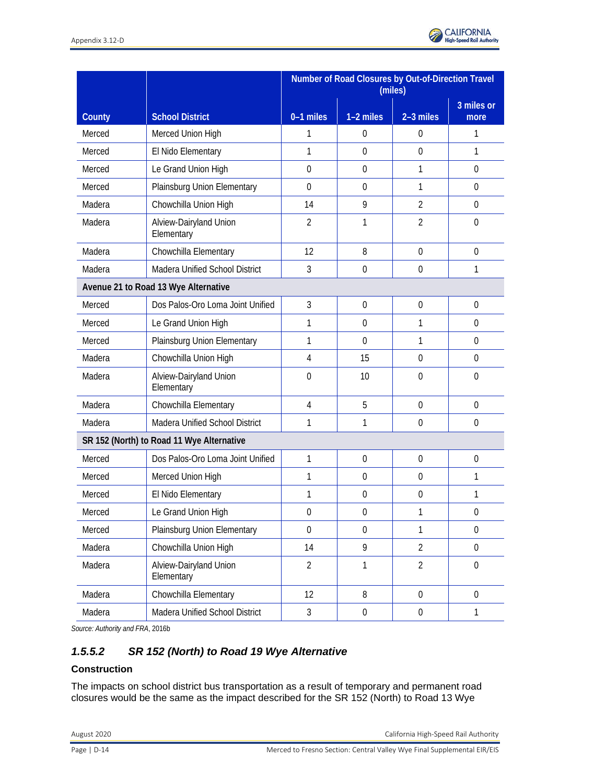Before the start of construction, a Construction Management Plan would be implemented; this plan would include information to address communications, safety controls, and traffic controls to minimize impacts and maintain access. A Construction Transportation Plan would also be prepared before the start of construction to provide information for the safety of school children and to advise school districts about the construction activities. See the Transportation Technical Report (Authority and FRA 2016b) for a detailed discussion of the Construction Transportation Plan.

The Central Valley Wye alternatives would all be grade-separated from the existing transportation corridors, so there would be no conflict between school buses and the HSR. Refer to the Transportation Technical Report (Authority and FRA 2016b) for a complete discussion of this issue. All of the Central Valley Wye alternatives provide new crossings over existing transportation corridors. These new crossings could allow for more direct transportation across the SR 99 and BNSF Railway (BNSF) corridors in unincorporated Merced and Madera counties. These overcrossings would remove conflicts with railroads and improve safety and access for buses.

Road closures would be temporary and permanent. The effect on school district bus transportation would be correspondingly minimized under NEPA because the out-of-direction travel distances required due to road closures would not result in long detours, and the Authority would work with local jurisdictions to provide additional access, as needed.

#### **Operations**

School district bus transportation would be unaffected by Central Valley Wye alternatives operations because traffic conditions would remain uncongested. Refer to the Transportation Technical Report (Authority and FRA 2016b) for complete information on operating traffic conditions as a result of HSR operations. Under NEPA, there would be no impact because the operations of trains would not interfere with the operation of buses.

|        |                                           | Number of Road Closures by Out-of-Direction Travel<br>(miles) |             |                |                    |  |
|--------|-------------------------------------------|---------------------------------------------------------------|-------------|----------------|--------------------|--|
| County | <b>School District</b>                    | $0-1$ miles                                                   | $1-2$ miles | $2-3$ miles    | 3 miles or<br>more |  |
|        | SR 152 (North) to Road 13 Wye Alternative |                                                               |             |                |                    |  |
| Merced | Dos Palos-Oro Loma Joint Unified          |                                                               | $\theta$    | $\theta$       | $\Omega$           |  |
| Merced | Merced Union High                         | 1                                                             | $\Omega$    | $\Omega$       |                    |  |
| Merced | El Nido Elementary                        |                                                               | $\Omega$    | 0              |                    |  |
| Merced | Le Grand Union High                       |                                                               | $\theta$    | 1              | $\mathbf{0}$       |  |
| Merced | Plainsburg Union Elementary               | 1                                                             | $\Omega$    | 1              | $\Omega$           |  |
| Madera | Chowchilla Union High                     | 8                                                             | 12          | 2              | 0                  |  |
| Madera | Alview-Dairyland Union<br>Elementary      | $\overline{2}$                                                |             | $\overline{2}$ | $\Omega$           |  |
| Madera | Chowchilla Elementary                     | 6                                                             | 11          | $\Omega$       | $\Omega$           |  |
| Madera | <b>Madera Unified School District</b>     | 3                                                             | $\theta$    | $\Omega$       |                    |  |
|        | SR 152 (North) to Road 19 Wye Alternative |                                                               |             |                |                    |  |
| Merced | Dos Palos-Oro Loma Joint Unified          |                                                               | $\Omega$    | $\Omega$       | 0                  |  |

#### **Table 3 Summary of Permanent Road Closures by School District within the Resource Study Area**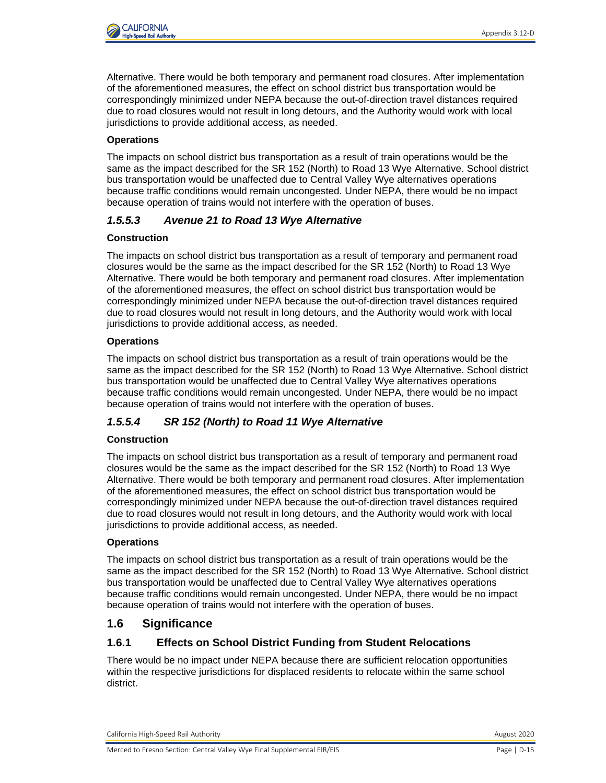|        |                                           | Number of Road Closures by Out-of-Direction Travel<br>(miles) |                  |                  |                      |
|--------|-------------------------------------------|---------------------------------------------------------------|------------------|------------------|----------------------|
| County | <b>School District</b>                    | 0-1 miles                                                     | 1-2 miles        | 2-3 miles        | $3$ miles or<br>more |
| Merced | Merced Union High                         | 1                                                             | 0                | $\mathbf 0$      | 1                    |
| Merced | El Nido Elementary                        | 1                                                             | $\mathbf 0$      | $\mathbf 0$      | 1                    |
| Merced | Le Grand Union High                       | $\Omega$                                                      | $\mathbf 0$      | 1                | 0                    |
| Merced | Plainsburg Union Elementary               | $\overline{0}$                                                | $\mathbf 0$      | 1                | $\mathbf 0$          |
| Madera | Chowchilla Union High                     | 14                                                            | 9                | $\overline{2}$   | 0                    |
| Madera | Alview-Dairyland Union<br>Elementary      | $\overline{2}$                                                | 1                | $\overline{2}$   | $\mathbf 0$          |
| Madera | Chowchilla Elementary                     | 12                                                            | 8                | $\overline{0}$   | $\mathbf 0$          |
| Madera | Madera Unified School District            | $\mathfrak{Z}$                                                | $\mathbf 0$      | $\mathbf 0$      | 1                    |
|        | Avenue 21 to Road 13 Wye Alternative      |                                                               |                  |                  |                      |
| Merced | Dos Palos-Oro Loma Joint Unified          | $\overline{3}$                                                | $\mathbf 0$      | $\mathbf 0$      | $\mathbf 0$          |
| Merced | Le Grand Union High                       | 1                                                             | $\overline{0}$   | 1                | 0                    |
| Merced | Plainsburg Union Elementary               | 1                                                             | $\overline{0}$   | 1                | $\mathbf 0$          |
| Madera | Chowchilla Union High                     | $\overline{4}$                                                | 15               | $\mathbf 0$      | $\mathbf 0$          |
| Madera | Alview-Dairyland Union<br>Elementary      | 0                                                             | 10               | $\mathbf 0$      | $\mathbf 0$          |
| Madera | Chowchilla Elementary                     | $\overline{4}$                                                | 5                | $\mathbf 0$      | $\mathbf 0$          |
| Madera | Madera Unified School District            | 1                                                             | 1                | $\mathbf 0$      | $\boldsymbol{0}$     |
|        | SR 152 (North) to Road 11 Wye Alternative |                                                               |                  |                  |                      |
| Merced | Dos Palos-Oro Loma Joint Unified          | $\mathbf{1}$                                                  | $\mathbf 0$      | $\mathbf 0$      | $\mathbf 0$          |
| Merced | Merced Union High                         | 1                                                             | $\mathbf 0$      | $\mathbf 0$      | 1                    |
| Merced | El Nido Elementary                        | 1                                                             | $\boldsymbol{0}$ | $\mathbf 0$      | 1                    |
| Merced | Le Grand Union High                       | $\boldsymbol{0}$                                              | $\boldsymbol{0}$ | 1                | 0                    |
| Merced | Plainsburg Union Elementary               | $\mathbf 0$                                                   | $\mathbf 0$      | 1                | $\mathbf 0$          |
| Madera | Chowchilla Union High                     | 14                                                            | 9                | $\overline{2}$   | $\boldsymbol{0}$     |
| Madera | Alview-Dairyland Union<br>Elementary      | $\overline{2}$                                                | $\mathbf{1}$     | $\overline{2}$   | $\boldsymbol{0}$     |
| Madera | Chowchilla Elementary                     | 12                                                            | 8                | $\mathbf 0$      | $\boldsymbol{0}$     |
| Madera | Madera Unified School District            | $\mathfrak{Z}$                                                | $\boldsymbol{0}$ | $\boldsymbol{0}$ | $\mathbf{1}$         |

*Source: Authority and FRA*, 2016b

# *1.5.5.2 SR 152 (North) to Road 19 Wye Alternative*

#### **Construction**

The impacts on school district bus transportation as a result of temporary and permanent road closures would be the same as the impact described for the SR 152 (North) to Road 13 Wye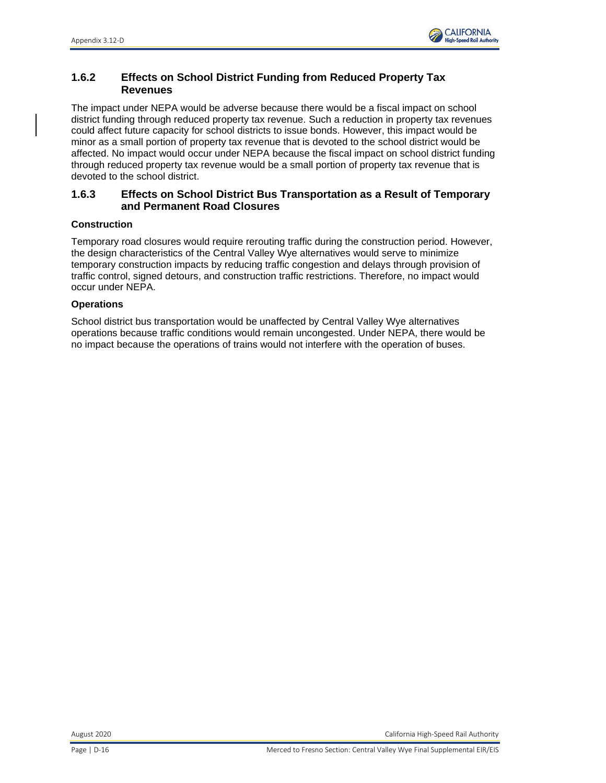

Alternative. There would be both temporary and permanent road closures. After implementation of the aforementioned measures, the effect on school district bus transportation would be correspondingly minimized under NEPA because the out-of-direction travel distances required due to road closures would not result in long detours, and the Authority would work with local jurisdictions to provide additional access, as needed.

## **Operations**

The impacts on school district bus transportation as a result of train operations would be the same as the impact described for the SR 152 (North) to Road 13 Wye Alternative. School district bus transportation would be unaffected due to Central Valley Wye alternatives operations because traffic conditions would remain uncongested. Under NEPA, there would be no impact because operation of trains would not interfere with the operation of buses.

## *1.5.5.3 Avenue 21 to Road 13 Wye Alternative*

#### **Construction**

The impacts on school district bus transportation as a result of temporary and permanent road closures would be the same as the impact described for the SR 152 (North) to Road 13 Wye Alternative. There would be both temporary and permanent road closures. After implementation of the aforementioned measures, the effect on school district bus transportation would be correspondingly minimized under NEPA because the out-of-direction travel distances required due to road closures would not result in long detours, and the Authority would work with local jurisdictions to provide additional access, as needed.

#### **Operations**

The impacts on school district bus transportation as a result of train operations would be the same as the impact described for the SR 152 (North) to Road 13 Wye Alternative. School district bus transportation would be unaffected due to Central Valley Wye alternatives operations because traffic conditions would remain uncongested. Under NEPA, there would be no impact because operation of trains would not interfere with the operation of buses.

## *1.5.5.4 SR 152 (North) to Road 11 Wye Alternative*

#### **Construction**

The impacts on school district bus transportation as a result of temporary and permanent road closures would be the same as the impact described for the SR 152 (North) to Road 13 Wye Alternative. There would be both temporary and permanent road closures. After implementation of the aforementioned measures, the effect on school district bus transportation would be correspondingly minimized under NEPA because the out-of-direction travel distances required due to road closures would not result in long detours, and the Authority would work with local jurisdictions to provide additional access, as needed.

#### **Operations**

The impacts on school district bus transportation as a result of train operations would be the same as the impact described for the SR 152 (North) to Road 13 Wye Alternative. School district bus transportation would be unaffected due to Central Valley Wye alternatives operations because traffic conditions would remain uncongested. Under NEPA, there would be no impact because operation of trains would not interfere with the operation of buses.

# **1.6 Significance**

# **1.6.1 Effects on School District Funding from Student Relocations**

There would be no impact under NEPA because there are sufficient relocation opportunities within the respective jurisdictions for displaced residents to relocate within the same school district.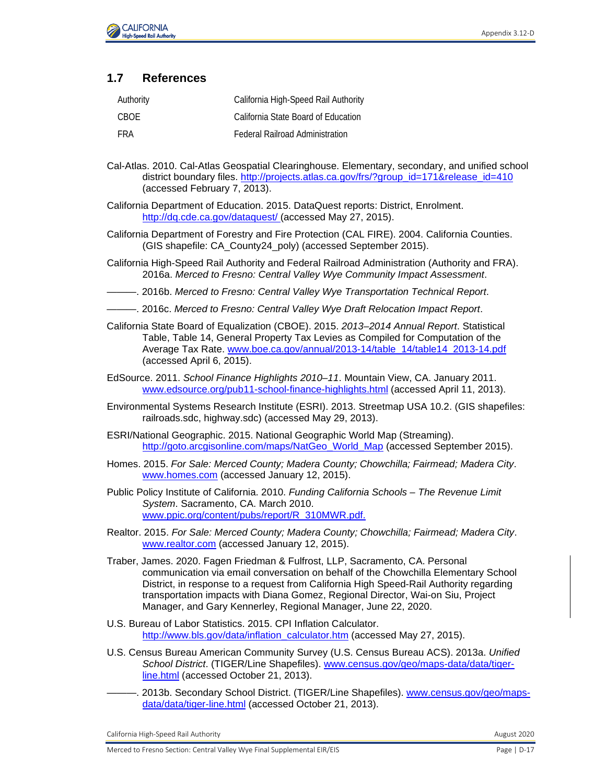

# **1.6.2 Effects on School District Funding from Reduced Property Tax Revenues**

The impact under NEPA would be adverse because there would be a fiscal impact on school district funding through reduced property tax revenue. Such a reduction in property tax revenues could affect future capacity for school districts to issue bonds. However, this impact would be minor as a small portion of property tax revenue that is devoted to the school district would be affected. No impact would occur under NEPA because the fiscal impact on school district funding through reduced property tax revenue would be a small portion of property tax revenue that is devoted to the school district.

## **1.6.3 Effects on School District Bus Transportation as a Result of Temporary and Permanent Road Closures**

#### **Construction**

Temporary road closures would require rerouting traffic during the construction period. However, the design characteristics of the Central Valley Wye alternatives would serve to minimize temporary construction impacts by reducing traffic congestion and delays through provision of traffic control, signed detours, and construction traffic restrictions. Therefore, no impact would occur under NEPA.

#### **Operations**

School district bus transportation would be unaffected by Central Valley Wye alternatives operations because traffic conditions would remain uncongested. Under NEPA, there would be no impact because the operations of trains would not interfere with the operation of buses.

August 2020 California High-Speed Rail Authority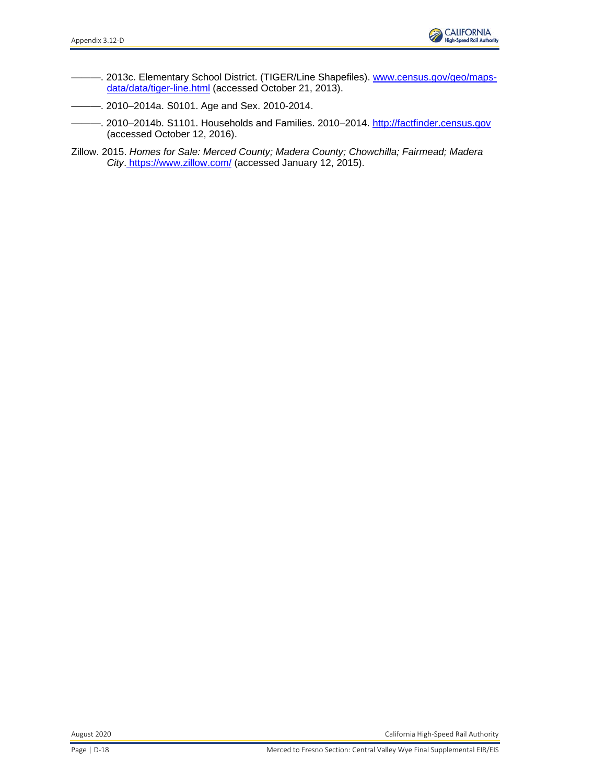

# **1.7 References**

| Authority | California High-Speed Rail Authority   |
|-----------|----------------------------------------|
| CBOE      | California State Board of Education    |
| FRA       | <b>Federal Railroad Administration</b> |

- Cal-Atlas. 2010. Cal-Atlas Geospatial Clearinghouse. Elementary, secondary, and unified school district boundary files. [http://projects.atlas.ca.gov/frs/?group\\_id=171&release\\_id=410](http://projects.atlas.ca.gov/frs/?group_id=171&release_id=410) (accessed February 7, 2013).
- California Department of Education. 2015. DataQuest reports: District, Enrolment. [http://dq.cde.ca.gov/dataquest/](http://www.realtor.com/) (accessed May 27, 2015).
- California Department of Forestry and Fire Protection (CAL FIRE). 2004. California Counties. (GIS shapefile: CA\_County24\_poly) (accessed September 2015).
- California High-Speed Rail Authority and Federal Railroad Administration (Authority and FRA). 2016a. *Merced to Fresno: Central Valley Wye Community Impact Assessment*.
- ———. 2016b. *Merced to Fresno: Central Valley Wye Transportation Technical Report*.
- -. 2016c. Merced to Fresno: Central Valley Wye Draft Relocation Impact Report.
- California State Board of Equalization (CBOE). 2015. *2013–2014 Annual Report*. Statistical Table, Table 14, General Property Tax Levies as Compiled for Computation of the Average Tax Rate. [www.boe.ca.gov/annual/2013-14/table\\_14/table14\\_2013-14.pdf](http://www.boe.ca.gov/annual/2013-14/table_14/table14_2013-14.pdf) (accessed April 6, 2015).
- EdSource. 2011. *School Finance Highlights 2010–11*. Mountain View, CA. January 2011. [www.edsource.org/pub11-school-finance-highlights.html](http://www.bls.gov/data/inflation_calculator.htm) (accessed April 11, 2013).
- Environmental Systems Research Institute (ESRI). 2013. Streetmap USA 10.2. (GIS shapefiles: railroads.sdc, highway.sdc) (accessed May 29, 2013).
- ESRI/National Geographic. 2015. National Geographic World Map (Streaming). [http://goto.arcgisonline.com/maps/NatGeo\\_World\\_Map](http://goto.arcgisonline.com/maps/NatGeo_World_Map) (accessed September 2015).
- Homes. 2015. *For Sale: Merced County; Madera County; Chowchilla; Fairmead; Madera City*. [www.homes.com](http://factfinder.census.gov/) (accessed January 12, 2015).
- Public Policy Institute of California. 2010. *Funding California Schools – The Revenue Limit System*. Sacramento, CA. March 2010. [www.ppic.org/content/pubs/report/R\\_310MWR.pdf.](http://www.ppic.org/content/pubs/report/R_310MWR.pdf)
- Realtor. 2015. *For Sale: Merced County; Madera County; Chowchilla; Fairmead; Madera City*. [www.realtor.com](http://www.edsource.org/pub11-school-finance-highlights.html) (accessed January 12, 2015).
- Traber, James. 2020. Fagen Friedman & Fulfrost, LLP, Sacramento, CA. Personal communication via email conversation on behalf of the Chowchilla Elementary School District, in response to a request from California High Speed-Rail Authority regarding transportation impacts with Diana Gomez, Regional Director, Wai-on Siu, Project Manager, and Gary Kennerley, Regional Manager, June 22, 2020.
- U.S. Bureau of Labor Statistics. 2015. CPI Inflation Calculator. [http://www.bls.gov/data/inflation\\_calculator.htm](http://www.homes.com/) (accessed May 27, 2015).
- U.S. Census Bureau American Community Survey (U.S. Census Bureau ACS). 2013a. *Unified School District*. (TIGER/Line Shapefiles). [www.census.gov/geo/maps-data/data/tiger](http://www.census.gov/geo/maps-data/data/tiger-line.html)[line.html](http://www.census.gov/geo/maps-data/data/tiger-line.html) (accessed October 21, 2013).
- 2013b. Secondary School District. (TIGER/Line Shapefiles). [www.census.gov/geo/maps](http://www.census.gov/geo/maps-data/data/tiger-line.html)[data/data/tiger-line.html](http://www.census.gov/geo/maps-data/data/tiger-line.html) (accessed October 21, 2013).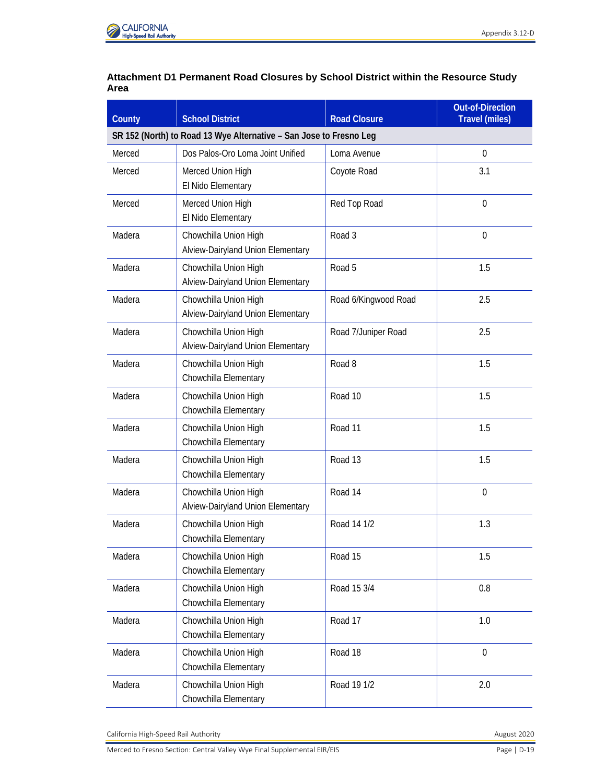

- -. 2013c. Elementary School District. (TIGER/Line Shapefiles). [www.census.gov/geo/maps](http://www.census.gov/geo/maps-data/data/tiger-line.html)[data/data/tiger-line.html](http://www.census.gov/geo/maps-data/data/tiger-line.html) (accessed October 21, 2013).
- ———. 2010–2014a. S0101. Age and Sex. 2010-2014.
- -. 2010-2014b. S1101. Households and Families. 2010-2014. [http://factfinder.census.gov](http://factfinder.census.gov/) (accessed October 12, 2016).
- Zillow. 2015. *Homes for Sale: Merced County; Madera County; Chowchilla; Fairmead; Madera City*. <https://www.zillow.com/> (accessed January 12, 2015).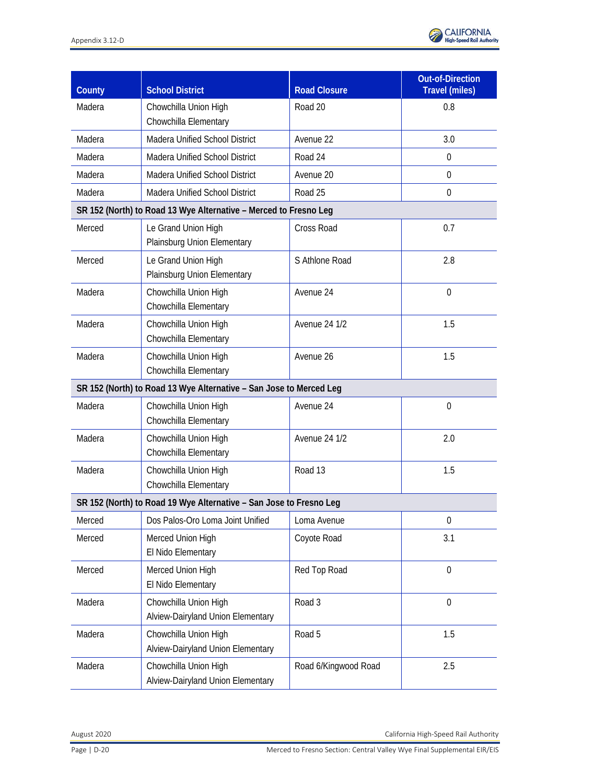

## **Attachment D1 Permanent Road Closures by School District within the Resource Study Area**

| County | <b>School District</b>                                             | <b>Road Closure</b>  | <b>Out-of-Direction</b><br><b>Travel (miles)</b> |  |  |  |
|--------|--------------------------------------------------------------------|----------------------|--------------------------------------------------|--|--|--|
|        | SR 152 (North) to Road 13 Wye Alternative - San Jose to Fresno Leg |                      |                                                  |  |  |  |
| Merced | Dos Palos-Oro Loma Joint Unified                                   | Loma Avenue          | $\mathbf 0$                                      |  |  |  |
| Merced | Merced Union High<br>El Nido Elementary                            | Coyote Road          | 3.1                                              |  |  |  |
| Merced | Merced Union High<br>El Nido Elementary                            | Red Top Road         | $\theta$                                         |  |  |  |
| Madera | Chowchilla Union High<br>Alview-Dairyland Union Elementary         | Road 3               | $\mathbf 0$                                      |  |  |  |
| Madera | Chowchilla Union High<br>Alview-Dairyland Union Elementary         | Road 5               | 1.5                                              |  |  |  |
| Madera | Chowchilla Union High<br>Alview-Dairyland Union Elementary         | Road 6/Kingwood Road | 2.5                                              |  |  |  |
| Madera | Chowchilla Union High<br>Alview-Dairyland Union Elementary         | Road 7/Juniper Road  | 2.5                                              |  |  |  |
| Madera | Chowchilla Union High<br>Chowchilla Elementary                     | Road 8               | 1.5                                              |  |  |  |
| Madera | Chowchilla Union High<br>Chowchilla Elementary                     | Road 10              | 1.5                                              |  |  |  |
| Madera | Chowchilla Union High<br>Chowchilla Elementary                     | Road 11              | 1.5                                              |  |  |  |
| Madera | Chowchilla Union High<br>Chowchilla Elementary                     | Road 13              | 1.5                                              |  |  |  |
| Madera | Chowchilla Union High<br>Alview-Dairyland Union Elementary         | Road 14              | $\mathbf 0$                                      |  |  |  |
| Madera | Chowchilla Union High<br>Chowchilla Elementary                     | Road 14 1/2          | 1.3                                              |  |  |  |
| Madera | Chowchilla Union High<br>Chowchilla Elementary                     | Road 15              | 1.5                                              |  |  |  |
| Madera | Chowchilla Union High<br>Chowchilla Elementary                     | Road 15 3/4          | 0.8                                              |  |  |  |
| Madera | Chowchilla Union High<br>Chowchilla Elementary                     | Road 17              | 1.0                                              |  |  |  |
| Madera | Chowchilla Union High<br>Chowchilla Elementary                     | Road 18              | $\boldsymbol{0}$                                 |  |  |  |
| Madera | Chowchilla Union High<br>Chowchilla Elementary                     | Road 19 1/2          | 2.0                                              |  |  |  |

California High-Speed Rail Authority **August 2020 August 2020**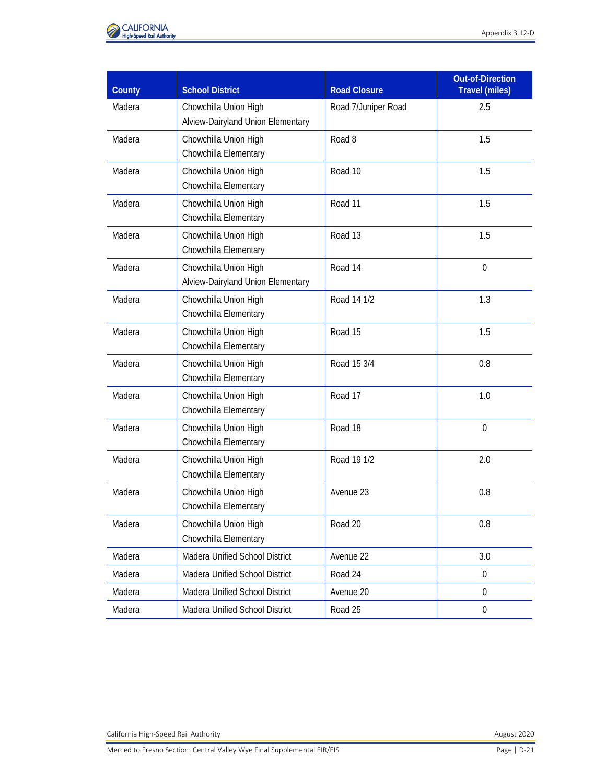

| County | <b>School District</b>                                             | <b>Road Closure</b>  | <b>Out-of-Direction</b><br><b>Travel (miles)</b> |
|--------|--------------------------------------------------------------------|----------------------|--------------------------------------------------|
| Madera | Chowchilla Union High<br>Chowchilla Elementary                     | Road 20              | 0.8                                              |
| Madera | Madera Unified School District                                     | Avenue 22            | 3.0                                              |
| Madera | Madera Unified School District                                     | Road 24              | 0                                                |
| Madera | Madera Unified School District                                     | Avenue 20            | $\Omega$                                         |
| Madera | Madera Unified School District                                     | Road 25              | 0                                                |
|        | SR 152 (North) to Road 13 Wye Alternative - Merced to Fresno Leg   |                      |                                                  |
| Merced | Le Grand Union High<br>Plainsburg Union Elementary                 | Cross Road           | 0.7                                              |
| Merced | Le Grand Union High<br>Plainsburg Union Elementary                 | S Athlone Road       | 2.8                                              |
| Madera | Chowchilla Union High<br>Chowchilla Elementary                     | Avenue 24            | $\mathbf 0$                                      |
| Madera | Chowchilla Union High<br>Chowchilla Elementary                     | <b>Avenue 24 1/2</b> | 1.5                                              |
| Madera | Chowchilla Union High<br>Chowchilla Elementary                     | Avenue 26            | 1.5                                              |
|        | SR 152 (North) to Road 13 Wye Alternative - San Jose to Merced Leg |                      |                                                  |
| Madera | Chowchilla Union High<br>Chowchilla Elementary                     | Avenue 24            | $\mathbf 0$                                      |
| Madera | Chowchilla Union High<br>Chowchilla Elementary                     | <b>Avenue 24 1/2</b> | 2.0                                              |
| Madera | Chowchilla Union High<br>Chowchilla Elementary                     | Road 13              | 1.5                                              |
|        | SR 152 (North) to Road 19 Wye Alternative - San Jose to Fresno Leg |                      |                                                  |
| Merced | Dos Palos-Oro Loma Joint Unified                                   | Loma Avenue          | 0                                                |
| Merced | Merced Union High<br>El Nido Elementary                            | Coyote Road          | 3.1                                              |
| Merced | Merced Union High<br>El Nido Elementary                            | Red Top Road         | $\mathbf 0$                                      |
| Madera | Chowchilla Union High<br>Alview-Dairyland Union Elementary         | Road 3               | $\mathbf 0$                                      |
| Madera | Chowchilla Union High<br>Alview-Dairyland Union Elementary         | Road 5               | 1.5                                              |
| Madera | Chowchilla Union High<br>Alview-Dairyland Union Elementary         | Road 6/Kingwood Road | 2.5                                              |

August 2020 California High-Speed Rail Authority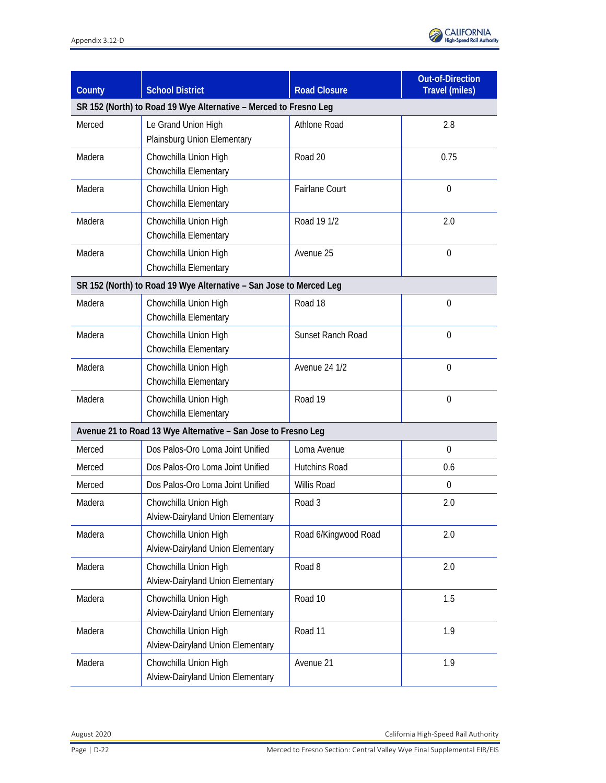

| County | <b>School District</b>                                     | <b>Road Closure</b> | <b>Out-of-Direction</b><br><b>Travel (miles)</b> |
|--------|------------------------------------------------------------|---------------------|--------------------------------------------------|
| Madera | Chowchilla Union High<br>Alview-Dairyland Union Elementary | Road 7/Juniper Road | 2.5                                              |
| Madera | Chowchilla Union High<br>Chowchilla Elementary             | Road 8              | 1.5                                              |
| Madera | Chowchilla Union High<br>Chowchilla Elementary             | Road 10             | 1.5                                              |
| Madera | Chowchilla Union High<br>Chowchilla Elementary             | Road 11             | 1.5                                              |
| Madera | Chowchilla Union High<br>Chowchilla Elementary             | Road 13             | 1.5                                              |
| Madera | Chowchilla Union High<br>Alview-Dairyland Union Elementary | Road 14             | $\mathbf 0$                                      |
| Madera | Chowchilla Union High<br>Chowchilla Elementary             | Road 14 1/2         | 1.3                                              |
| Madera | Chowchilla Union High<br>Chowchilla Elementary             | Road 15             | 1.5                                              |
| Madera | Chowchilla Union High<br>Chowchilla Elementary             | Road 15 3/4         | 0.8                                              |
| Madera | Chowchilla Union High<br>Chowchilla Elementary             | Road 17             | 1.0                                              |
| Madera | Chowchilla Union High<br>Chowchilla Elementary             | Road 18             | $\overline{0}$                                   |
| Madera | Chowchilla Union High<br>Chowchilla Elementary             | Road 19 1/2         | 2.0                                              |
| Madera | Chowchilla Union High<br>Chowchilla Elementary             | Avenue 23           | 0.8                                              |
| Madera | Chowchilla Union High<br>Chowchilla Elementary             | Road 20             | 0.8                                              |
| Madera | Madera Unified School District                             | Avenue 22           | 3.0                                              |
| Madera | Madera Unified School District                             | Road 24             | $\boldsymbol{0}$                                 |
| Madera | Madera Unified School District                             | Avenue 20           | $\boldsymbol{0}$                                 |
| Madera | Madera Unified School District                             | Road 25             | $\boldsymbol{0}$                                 |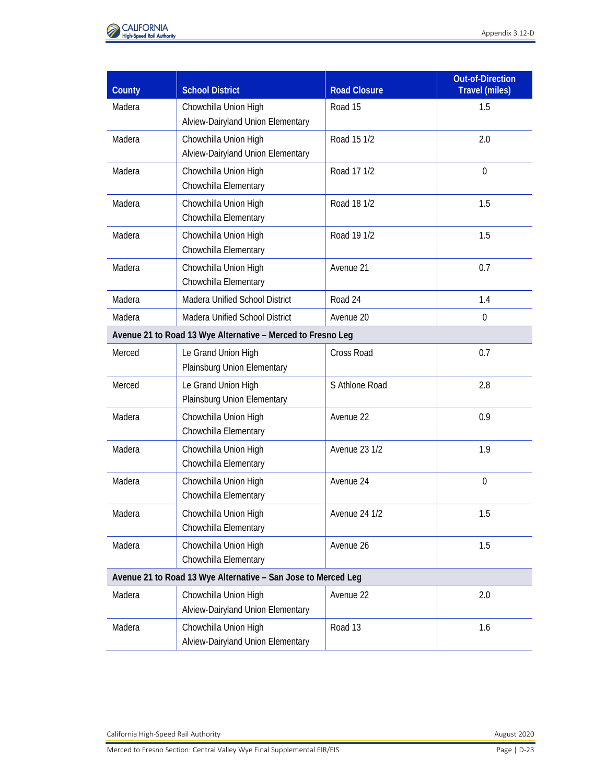

| County | <b>School District</b>                                             | <b>Road Closure</b>      | <b>Out-of-Direction</b><br><b>Travel (miles)</b> |
|--------|--------------------------------------------------------------------|--------------------------|--------------------------------------------------|
|        | SR 152 (North) to Road 19 Wye Alternative - Merced to Fresno Leg   |                          |                                                  |
| Merced | Le Grand Union High<br>Plainsburg Union Elementary                 | Athlone Road             | 2.8                                              |
| Madera | Chowchilla Union High<br>Chowchilla Elementary                     | Road 20                  | 0.75                                             |
| Madera | Chowchilla Union High<br>Chowchilla Elementary                     | <b>Fairlane Court</b>    | $\mathbf 0$                                      |
| Madera | Chowchilla Union High<br>Chowchilla Elementary                     | Road 19 1/2              | 2.0                                              |
| Madera | Chowchilla Union High<br>Chowchilla Elementary                     | Avenue 25                | $\mathbf 0$                                      |
|        | SR 152 (North) to Road 19 Wye Alternative - San Jose to Merced Leg |                          |                                                  |
| Madera | Chowchilla Union High<br>Chowchilla Elementary                     | Road 18                  | $\mathbf 0$                                      |
| Madera | Chowchilla Union High<br>Chowchilla Elementary                     | <b>Sunset Ranch Road</b> | $\overline{0}$                                   |
| Madera | Chowchilla Union High<br>Chowchilla Elementary                     | <b>Avenue 24 1/2</b>     | $\mathbf 0$                                      |
| Madera | Chowchilla Union High<br>Chowchilla Elementary                     | Road 19                  | $\mathbf 0$                                      |
|        | Avenue 21 to Road 13 Wye Alternative - San Jose to Fresno Leg      |                          |                                                  |
| Merced | Dos Palos-Oro Loma Joint Unified                                   | Loma Avenue              | $\overline{0}$                                   |
| Merced | Dos Palos-Oro Loma Joint Unified                                   | <b>Hutchins Road</b>     | 0.6                                              |
| Merced | Dos Palos-Oro Loma Joint Unified                                   | <b>Willis Road</b>       | $\mathbf 0$                                      |
| Madera | Chowchilla Union High<br>Alview-Dairyland Union Elementary         | Road 3                   | 2.0                                              |
| Madera | Chowchilla Union High<br>Alview-Dairyland Union Elementary         | Road 6/Kingwood Road     | 2.0                                              |
| Madera | Chowchilla Union High<br>Alview-Dairyland Union Elementary         | Road 8                   | 2.0                                              |
| Madera | Chowchilla Union High<br>Alview-Dairyland Union Elementary         | Road 10                  | 1.5                                              |
| Madera | Chowchilla Union High<br>Alview-Dairyland Union Elementary         | Road 11                  | 1.9                                              |
| Madera | Chowchilla Union High<br>Alview-Dairyland Union Elementary         | Avenue 21                | 1.9                                              |

August 2020 California High-Speed Rail Authority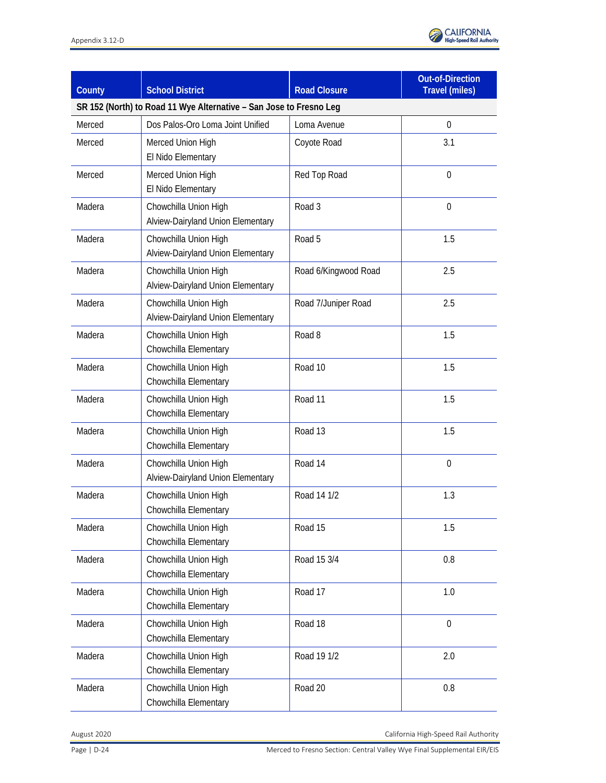

| County                                                      | <b>School District</b>                                        | <b>Road Closure</b>  | <b>Out-of-Direction</b><br><b>Travel (miles)</b> |  |
|-------------------------------------------------------------|---------------------------------------------------------------|----------------------|--------------------------------------------------|--|
| Madera                                                      | Chowchilla Union High<br>Alview-Dairyland Union Elementary    | Road 15              | 1.5                                              |  |
| Madera                                                      | Chowchilla Union High<br>Alview-Dairyland Union Elementary    | Road 15 1/2          | 2.0                                              |  |
| Madera                                                      | Chowchilla Union High<br>Chowchilla Elementary                | Road 17 1/2          | $\mathbf 0$                                      |  |
| Madera                                                      | Chowchilla Union High<br>Chowchilla Elementary                | Road 18 1/2          | 1.5                                              |  |
| Madera                                                      | Chowchilla Union High<br>Chowchilla Elementary                | Road 19 1/2          | 1.5                                              |  |
| Madera                                                      | Chowchilla Union High<br>Chowchilla Elementary                | Avenue 21            | 0.7                                              |  |
| Madera                                                      | <b>Madera Unified School District</b>                         | Road 24              | 1.4                                              |  |
| Madera                                                      | Madera Unified School District                                | Avenue 20            | $\boldsymbol{0}$                                 |  |
| Avenue 21 to Road 13 Wye Alternative - Merced to Fresno Leg |                                                               |                      |                                                  |  |
| Merced                                                      | Le Grand Union High<br>Plainsburg Union Elementary            | Cross Road           | 0.7                                              |  |
| Merced                                                      | Le Grand Union High<br>Plainsburg Union Elementary            | S Athlone Road       | 2.8                                              |  |
| Madera                                                      | Chowchilla Union High<br>Chowchilla Elementary                | Avenue 22            | 0.9                                              |  |
| Madera                                                      | Chowchilla Union High<br>Chowchilla Elementary                | Avenue 23 1/2        | 1.9                                              |  |
| Madera                                                      | Chowchilla Union High<br>Chowchilla Elementary                | Avenue 24            | $\mathbf 0$                                      |  |
| Madera                                                      | Chowchilla Union High<br>Chowchilla Elementary                | <b>Avenue 24 1/2</b> | 1.5                                              |  |
| Madera                                                      | Chowchilla Union High<br>Chowchilla Elementary                | Avenue 26            | 1.5                                              |  |
|                                                             | Avenue 21 to Road 13 Wye Alternative - San Jose to Merced Leg |                      |                                                  |  |
| Madera                                                      | Chowchilla Union High<br>Alview-Dairyland Union Elementary    | Avenue 22            | 2.0                                              |  |
| Madera                                                      | Chowchilla Union High<br>Alview-Dairyland Union Elementary    | Road 13              | 1.6                                              |  |

California High-Speed Rail Authority **August 2020**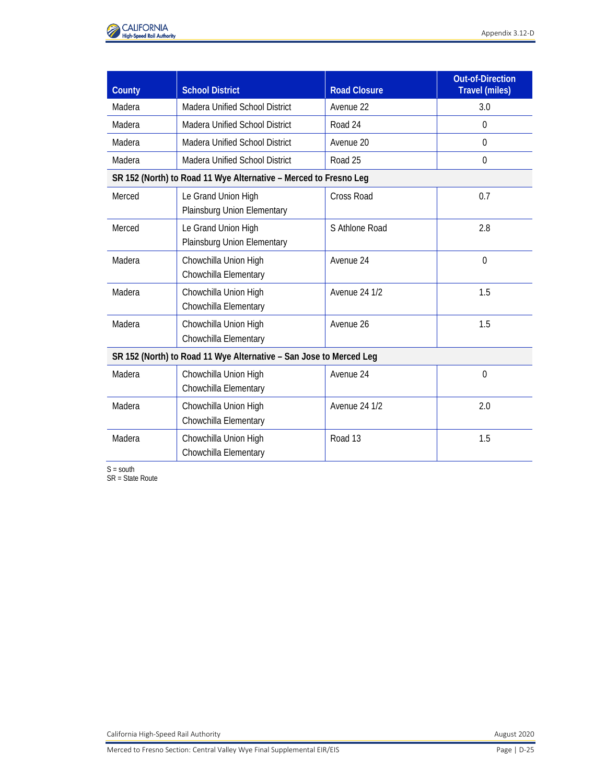

| <b>County</b> | <b>School District</b>                                             | <b>Road Closure</b>  | <b>Out-of-Direction</b><br><b>Travel (miles)</b> |
|---------------|--------------------------------------------------------------------|----------------------|--------------------------------------------------|
|               | SR 152 (North) to Road 11 Wye Alternative - San Jose to Fresno Leg |                      |                                                  |
| Merced        | Dos Palos-Oro Loma Joint Unified                                   | Loma Avenue          | $\Omega$                                         |
| Merced        | Merced Union High<br>El Nido Elementary                            | Coyote Road          | 3.1                                              |
| Merced        | Merced Union High<br>El Nido Elementary                            | Red Top Road         | $\mathbf 0$                                      |
| Madera        | Chowchilla Union High<br>Alview-Dairyland Union Elementary         | Road 3               | $\mathbf 0$                                      |
| Madera        | Chowchilla Union High<br>Alview-Dairyland Union Elementary         | Road 5               | 1.5                                              |
| Madera        | Chowchilla Union High<br>Alview-Dairyland Union Elementary         | Road 6/Kingwood Road | 2.5                                              |
| Madera        | Chowchilla Union High<br>Alview-Dairyland Union Elementary         | Road 7/Juniper Road  | 2.5                                              |
| Madera        | Chowchilla Union High<br>Chowchilla Elementary                     | Road 8               | 1.5                                              |
| Madera        | Chowchilla Union High<br>Chowchilla Elementary                     | Road 10              | 1.5                                              |
| Madera        | Chowchilla Union High<br>Chowchilla Elementary                     | Road 11              | 1.5                                              |
| Madera        | Chowchilla Union High<br>Chowchilla Elementary                     | Road 13              | 1.5                                              |
| Madera        | Chowchilla Union High<br>Alview-Dairyland Union Elementary         | Road 14              | $\overline{0}$                                   |
| Madera        | Chowchilla Union High<br>Chowchilla Elementary                     | Road 14 1/2          | 1.3                                              |
| Madera        | Chowchilla Union High<br>Chowchilla Elementary                     | Road 15              | 1.5                                              |
| Madera        | Chowchilla Union High<br>Chowchilla Elementary                     | Road 15 3/4          | 0.8                                              |
| Madera        | Chowchilla Union High<br>Chowchilla Elementary                     | Road 17              | 1.0                                              |
| Madera        | Chowchilla Union High<br>Chowchilla Elementary                     | Road 18              | $\mathbf 0$                                      |
| Madera        | Chowchilla Union High<br>Chowchilla Elementary                     | Road 19 1/2          | 2.0                                              |
| Madera        | Chowchilla Union High<br>Chowchilla Elementary                     | Road 20              | $0.8\,$                                          |

August 2020 California High-Speed Rail Authority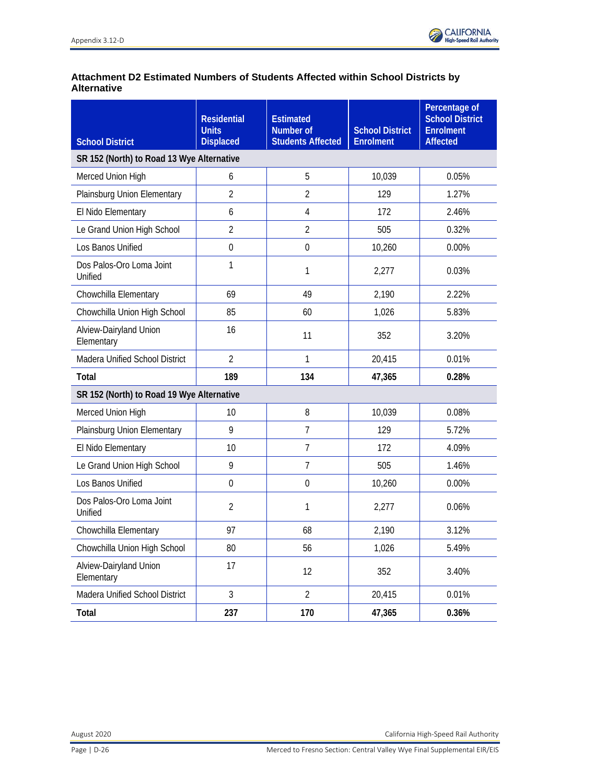

| County | <b>School District</b>                                             | <b>Road Closure</b>  | <b>Out-of-Direction</b><br><b>Travel (miles)</b> |
|--------|--------------------------------------------------------------------|----------------------|--------------------------------------------------|
| Madera | Madera Unified School District                                     | Avenue 22            | 3.0                                              |
| Madera | <b>Madera Unified School District</b>                              | Road 24              | $\Omega$                                         |
| Madera | <b>Madera Unified School District</b>                              | Avenue 20            | $\overline{0}$                                   |
| Madera | Madera Unified School District                                     | Road 25              | $\Omega$                                         |
|        | SR 152 (North) to Road 11 Wye Alternative - Merced to Fresno Leg   |                      |                                                  |
| Merced | Le Grand Union High<br>Plainsburg Union Elementary                 | Cross Road           | 0.7                                              |
| Merced | Le Grand Union High<br>Plainsburg Union Elementary                 | S Athlone Road       | 2.8                                              |
| Madera | Chowchilla Union High<br>Chowchilla Elementary                     | Avenue 24            | $\overline{0}$                                   |
| Madera | Chowchilla Union High<br>Chowchilla Elementary                     | <b>Avenue 24 1/2</b> | 1.5                                              |
| Madera | Chowchilla Union High<br>Chowchilla Elementary                     | Avenue 26            | 1.5                                              |
|        | SR 152 (North) to Road 11 Wye Alternative - San Jose to Merced Leg |                      |                                                  |
| Madera | Chowchilla Union High<br>Chowchilla Elementary                     | Avenue 24            | $\theta$                                         |
| Madera | Chowchilla Union High<br>Chowchilla Elementary                     | <b>Avenue 24 1/2</b> | 2.0                                              |
| Madera | Chowchilla Union High<br>Chowchilla Elementary                     | Road 13              | 1.5                                              |

 $S =$  south

SR = State Route

California High-Speed Rail Authority **August 2020**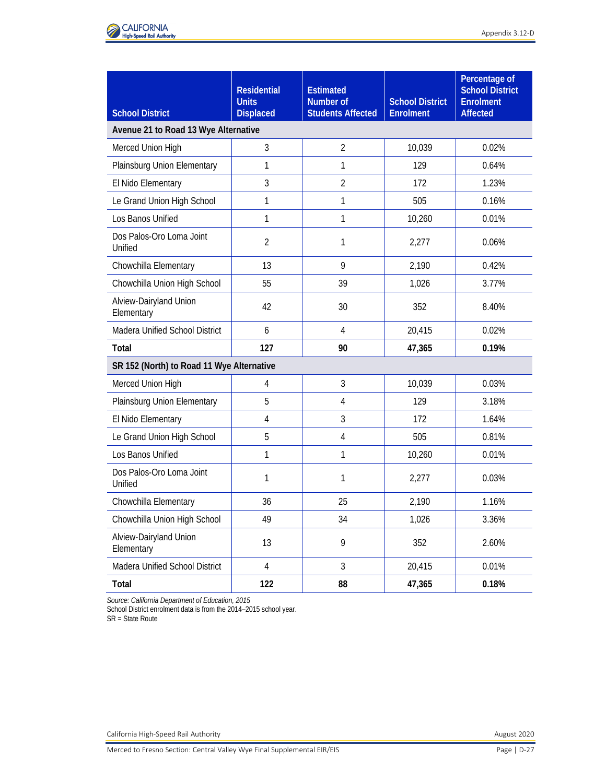# **Attachment D2 Estimated Numbers of Students Affected within School Districts by Alternative**

| <b>School District</b>                    | <b>Residential</b><br><b>Units</b><br><b>Displaced</b> | <b>Estimated</b><br><b>Number of</b><br><b>Students Affected</b> | <b>School District</b><br><b>Enrolment</b> | Percentage of<br><b>School District</b><br><b>Enrolment</b><br><b>Affected</b> |  |
|-------------------------------------------|--------------------------------------------------------|------------------------------------------------------------------|--------------------------------------------|--------------------------------------------------------------------------------|--|
| SR 152 (North) to Road 13 Wye Alternative |                                                        |                                                                  |                                            |                                                                                |  |
| Merced Union High                         | 6                                                      | 5                                                                | 10,039                                     | 0.05%                                                                          |  |
| Plainsburg Union Elementary               | $\overline{2}$                                         | $\overline{2}$                                                   | 129                                        | 1.27%                                                                          |  |
| El Nido Elementary                        | 6                                                      | 4                                                                | 172                                        | 2.46%                                                                          |  |
| Le Grand Union High School                | $\overline{2}$                                         | $\overline{2}$                                                   | 505                                        | 0.32%                                                                          |  |
| Los Banos Unified                         | $\mathbf 0$                                            | $\mathbf 0$                                                      | 10,260                                     | 0.00%                                                                          |  |
| Dos Palos-Oro Loma Joint<br>Unified       | 1                                                      | 1                                                                | 2,277                                      | 0.03%                                                                          |  |
| Chowchilla Elementary                     | 69                                                     | 49                                                               | 2,190                                      | 2.22%                                                                          |  |
| Chowchilla Union High School              | 85                                                     | 60                                                               | 1,026                                      | 5.83%                                                                          |  |
| Alview-Dairyland Union<br>Elementary      | 16                                                     | 11                                                               | 352                                        | 3.20%                                                                          |  |
| Madera Unified School District            | $\overline{2}$                                         | 1                                                                | 20,415                                     | 0.01%                                                                          |  |
| <b>Total</b>                              | 189                                                    | 134                                                              | 47,365                                     | 0.28%                                                                          |  |
| SR 152 (North) to Road 19 Wye Alternative |                                                        |                                                                  |                                            |                                                                                |  |
| Merced Union High                         | 10                                                     | 8                                                                | 10,039                                     | 0.08%                                                                          |  |
| Plainsburg Union Elementary               | 9                                                      | $\overline{7}$                                                   | 129                                        | 5.72%                                                                          |  |
| El Nido Elementary                        | 10                                                     | $\overline{7}$                                                   | 172                                        | 4.09%                                                                          |  |
| Le Grand Union High School                | 9                                                      | $\overline{7}$                                                   | 505                                        | 1.46%                                                                          |  |
| Los Banos Unified                         | $\mathbf 0$                                            | $\mathbf 0$                                                      | 10,260                                     | 0.00%                                                                          |  |
| Dos Palos-Oro Loma Joint<br>Unified       | $\overline{2}$                                         | 1                                                                | 2,277                                      | 0.06%                                                                          |  |
| Chowchilla Elementary                     | 97                                                     | 68                                                               | 2,190                                      | 3.12%                                                                          |  |
| Chowchilla Union High School              | 80                                                     | 56                                                               | 1,026                                      | 5.49%                                                                          |  |
| Alview-Dairyland Union<br>Elementary      | 17                                                     | 12                                                               | 352                                        | 3.40%                                                                          |  |
| Madera Unified School District            | $\mathfrak{Z}$                                         | $\overline{2}$                                                   | 20,415                                     | 0.01%                                                                          |  |
| Total                                     | 237                                                    | 170                                                              | 47,365                                     | 0.36%                                                                          |  |